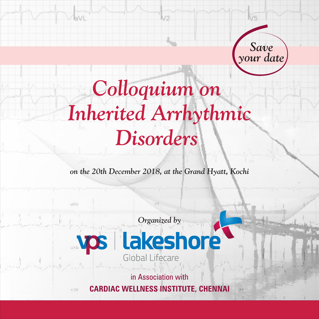

# *Colloquium on Inherited Arrhythmic Disorders*

k/2

*on the 20th December 2018, at the Grand Hyatt, Kochi*





**JUT** 

**COL** 

in Association with

**CARDIAC WELLNESS INSTITUTE, CHENNAI**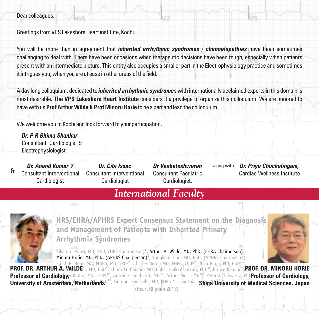#### Dear colleagues,

Greetings from VPS Lakeshore Heart institute, Kochi.

You will be more than in agreement that *inherited arrhythmic syndromes* / *channelopathies* have been sometimes challenging to deal with. There have been occasions when therapeutic decisions have been tough, especially when patients present with an intermediate picture. This entity also occupies a smaller part in the Electrophysiology practice and sometimes it intrigues you, when you are at ease in other areas of the field.

A day long colloquium, dedicated to *inherited arrhythmic syndrome*s with internationally acclaimed experts in this domain is most desirable. **The VPS Lakeshore Heart Institute** considers it a privilege to organize this colloquium. We are honored to have with us **Prof Arthur Wilde & Prof Minoru Horie** to be a part and lead the colloquium.

We welcome you to Kochi and look forward to your participation.

a Utra

*Dr. P R Bhima Shankar* Consultant Cardiologist & Electrophysiologist

*Dr. Anand Kumar V* Consultant Interventional Cardiologist &

*Dr. Cibi Issac* Consultant Interventional Cardiologist

*Dr Venkateshwaran* Consultant Paediatric Cardiologist.

along with

*Dr. Priya Chockalingam,*  Cardiac Wellness Institute

#### *International Faculty*  $u +$



HRS/EHRA/APHRS Expert Consensus Statement on the Diagnosis and Management of Patients with Inherited Primary **Arrhythmia Syndromes** 

Silvia G. Priori, MD, PhD, (HRS Chairperson)<sup>1</sup>, Arthur A. Wilde, MD, PhD, (EHRA Chairperson)<sup>2</sup> Minoru Horie, MD, PhD, (APHRS Chairperson)<sup>3</sup>, Yongkeun Cho, MD, PhD, (APHRS Chairperson)<sup>4</sup>, Elijah R. Behr, MA, MBBS, MD, FRCP<sup>5</sup>, Charles Berul, MD, FHRS, CCDS<sup>6</sup>, Nico Blom, MD, PhD<sup>7</sup>

(Heart Rhythm 2013) **PROF. DR. ARTHUR A. WILDE PROF. DR. MINORU HORIE Professor of Cardiology, Professor of Cardiology,**  University of Amsterdam, Netherlands<sup>per</sup>, Gordon Tomaselli, MD, HHKS<sup>227</sup>, Cynthia **Shiga University of Medical Sciences, Japan**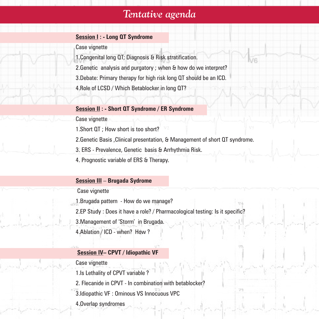### *Tentative agenda*

#### **Session I : - Long QT Syndrome**

Case vignette

- 1. Congenital long QT; Diagnosis & Risk stratification.
- 2. Genetic analysis and purgatory ; when & how do we interpret?
- 3. Debate: Primary therapy for high risk long QT should be an ICD.
- 4. Role of LCSD / Which Betablocker in long QT?

#### **Session II : - Short QT Syndrome / ER Syndrome**

Case vignette

1. Short QT ; How short is too short?

2. Genetic Basis ,Clinical presentation, & Management of short QT syndrome.

3. ERS - Prevalence, Genetic basis & Arrhythmia Risk.

4. Prognostic variable of ERS & Therapy.

#### **Session III** – **Brugada Sydrome**

Case vignette

1. Brugada pattern - How do we manage?

2. EP Study : Does it have a role? / Pharmacological testing: Is it specific?

3. Management of 'Storm' in Brugada.

4. Ablation / ICD - when? How ?

#### **Session IV– CPVT / Idiopathic VF**

#### Case vignette

1. Is Lethality of CPVT variable ?

2. Flecanide in CPVT - In combination with betablocker?

- 3. Idiopathic VF : Ominous VS Innocuous VPC
- 4. Overlap syndromes